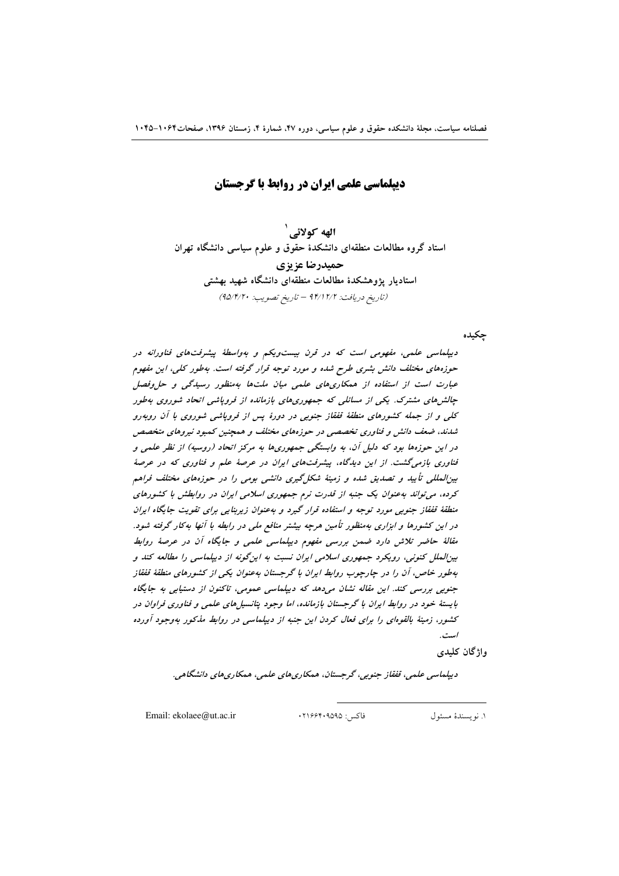دیپلماسی علمی ایران در روابط با گرجستان

الهه کولائے ` استاد گروه مطالعات منطقهای دانشکدهٔ حقوق و علوم سیاسی دانشگاه تهران حميدرضا عزيزي استادیار یژوهشکدهٔ مطالعات منطقهای دانشگاه شهید بهشتی (تاريخ دريافت: ١٢/١٢/٢ - تاريخ تصويب: ٩٥/٣/٢٠)

چکیده

دیپلماسی علمی، مفهومی است که در قرن بیست ویکم و بهواسطهٔ پیشرفتهای فناورانه در حوزههای مختلف دانش بشری طرح شده و مورد توجه قرار گرفته است. بهطور کلی، این مفهوم عبارت است از استفاده از همکاری های علمی میان ملت ها بهمنظور رسیدگی و حل وفصل چالش های مشترک. یکی از مسائلی که جمهوریهای بازمانده از فروپاشی اتحاد شوروی بهطور کلی و از جمله کشورهای منطقهٔ قفقاز جنوبی در دورهٔ پس از فروپاشی شوروی با آن روبهرو شدند، ضعف دانش و فناوری تخصصی در حوزههای مختلف و همچنین کمبود نیروهای متخصص در این حوزهها بود که دلیل آن، به وابستگی جمهوریها به مرکز اتحاد (روسیه) از نظر علمی و فناوری بازمی گشت. از این دیدگاه، پیشرفتهای ایران در عرصهٔ علم و فناوری که در عرصهٔ بینالمللی تأیید و تصدیق شده و زمینهٔ شکل گیری دانشی بومی را در حوزههای مختلف فراهم کرده، می تواند به عنوان یک جنبه از قدرت نرم جمهوری اسلامی ایران در روابطش با کشورهای منطقهٔ قفقاز جنوبی مورد توجه و استفاده قرار گیرد و بهعنوان زیربنایی برای تقویت جایگاه ایران در این کشورها و ابزاری بهمنظور تأمین هرچه بیشتر منافع ملی در رابطه با آنها بهکار گرفته شود. مقالهٔ حاضر تلاش دارد ضمن بررسی مفهوم دیپلماسی علمی و جایگاه آن در عرصهٔ روابط بین الملل کنونی، رویکرد جمهوری اسلامی ایران نسبت به این گونه از دیپلماسی را مطالعه کند و بهطور خاص، آن را در چارچوب روابط ایران با گرجستان بهعنوان یکی از کشورهای منطقهٔ قفقاز جنوبی بررسی کند. این مقاله نشان میدهد که دیپلماسی عمومی، تاکنون از دستیابی به جایگاه بایستهٔ خود در روابط ایران با گرجستان بازمانده، اما وجود پتانسپل های علمی و فناوری فراوان در کشور، زمینهٔ بالقوهای را برای فعال کردن این جنبه از دیپلماسی در روابط مذکور بهوجود آورده است.

واژگان کلیدی

ديپلماسي علمي، قفقاز جنوبي، گرجستان، همکاري هاي علمي، همکاري هاي دانشگاهي.

Email: ekolaee@ut.ac.ir

فاكس: ٢١۶۶۴٠٩۵٩۵.

١. نو يسندة مسئول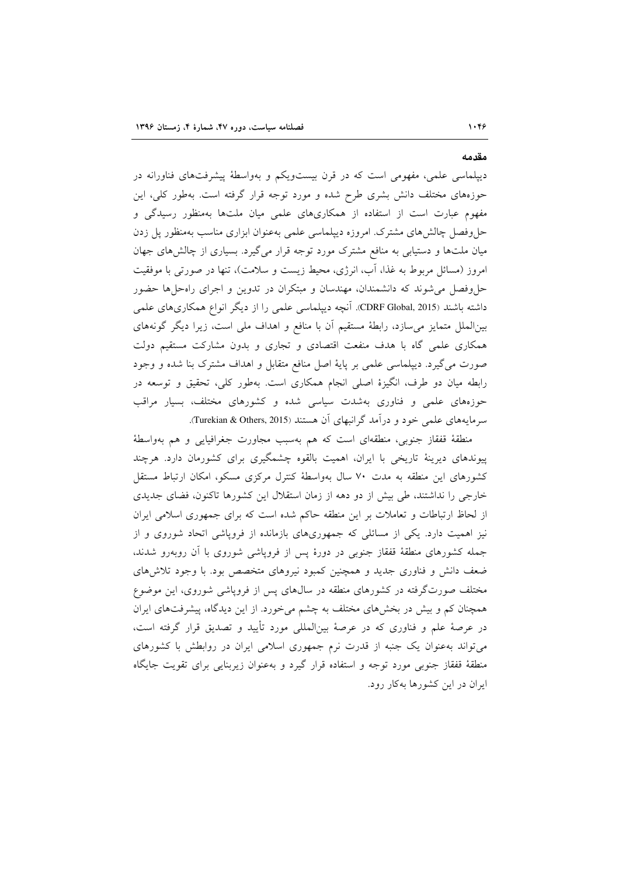دیپلماسی علمی، مفهومی است که در قرن بیستویکم و بهواسطهٔ پیشرفتهای فناورانه در حوزههای مختلف دانش بشری طرح شده و مورد توجه قرار گرفته است. بهطور کلی، این مفهوم عبارت است از استفاده از همکاریهای علمی میان ملتها بهمنظور رسیدگی و حل وفصل چالش های مشترک امروزه دیپلماسی علمی بهعنوان ابزاری مناسب بهمنظور پل زدن میان ملتها و دستیابی به منافع مشترک مورد توجه قرار میگیرد. بسیاری از چالشهای جهان امروز (مسائل مربوط به غذا، آب، انرژی، محیط زیست و سلامت)، تنها در صورتی با موفقیت حل،وفصل می شوند که دانشمندان، مهندسان و مبتکران در تدوین و اجرای راهحلها حضور داشته باشند (CDRF Global, 2015). آنچه دیپلماسی علمی را از دیگر انواع همکاریهای علمی بینالملل متمایز میسازد، رابطهٔ مستقیم آن با منافع و اهداف ملی است، زیرا دیگر گونههای همکاری علمی گاه با هدف منفعت اقتصادی و تجاری و بدون مشارکت مستقیم دولت صورت می گیرد. دیپلماسی علمی بر پایهٔ اصل منافع متقابل و اهداف مشترک بنا شده و وجود رابطه میان دو طرف، انگیزهٔ اصلی انجام همکاری است. بهطور کلی، تحقیق و توسعه در حوزههای علمی و فناوری بهشدت سیاسی شده و کشورهای مختلف، بسیار مراقب سرمایههای علمی خود و درآمد گرانبهای آن هستند (Turekian & Others, 2015).

منطقهٔ قفقاز جنوبی، منطقهای است که هم بهسبب مجاورت جغرافیایی و هم بهواسطهٔ پیوندهای دیرینهٔ تاریخی با ایران، اهمیت بالقوه چشمگیری برای کشورمان دارد. هرچند کشورهای این منطقه به مدت ۷۰ سال بهواسطهٔ کنترل مرکزی مسکو، امکان ارتباط مستقل خارجی را نداشتند، طی بیش از دو دهه از زمان استقلال این کشورها تاکنون، فضای جدیدی از لحاظ ارتباطات و تعاملات بر این منطقه حاکم شده است که برای جمهوری اسلامی ایران نیز اهمیت دارد. یکی از مسائلی که جمهوریهای بازمانده از فروپاشی اتحاد شوروی و از جمله کشورهای منطقهٔ قفقاز جنوبی در دورهٔ پس از فروپاشی شوروی با آن روبهرو شدند، ضعف دانش و فناوری جدید و همچنین کمبود نیروهای متخصص بود. با وجود تلاشهای مختلف صورتگرفته در کشورهای منطقه در سال۵ای پس از فروپاشی شوروی، این موضوع همچنان کم و بیش در بخشهای مختلف به چشم می خورد. از این دیدگاه، پیشرفتهای ایران در عرصهٔ علم و فناوری که در عرصهٔ بینالمللی مورد تأیید و تصدیق قرار گرفته است، می تواند به عنوان یک جنبه از قدرت نرم جمهوری اسلامی ایران در روابطش با کشورهای منطقهٔ قفقاز جنوبی مورد توجه و استفاده قرار گیرد و بهعنوان زیربنایی برای تقویت جایگاه ایران در این کشورها بهکار رود.

مقدمه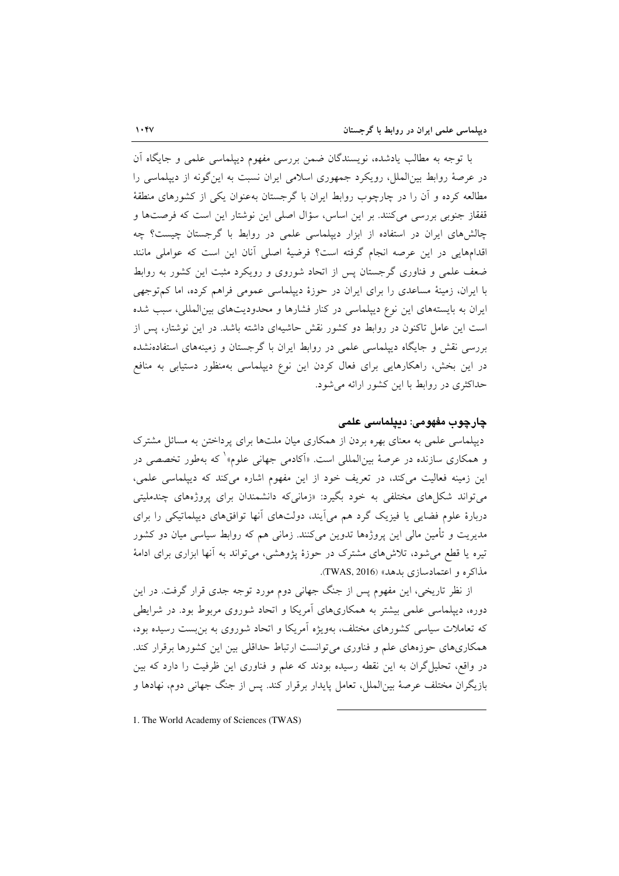با توجه به مطالب یادشده، نویسندگان ضمن بررسی مفهوم دیپلماسی علمی و جایگاه آن در عرصهٔ روابط بین(لملل) رویکرد جمهوری اسلامی ایران نسبت به این گونه از دیپلماسی را مطالعه کرده و آن را در چارچوب روابط ایران با گرجستان بهعنوان یکی از کشورهای منطقهٔ قفقاز جنوبی بررسی میکنند. بر این اساس، سؤال اصلی این نوشتار این است که فرصتها و چالشهای ایران در استفاده از ابزار دیپلماسی علمی در روابط با گرجستان چیست؟ چه اقدامهایی در این عرصه انجام گرفته است؟ فرضیهٔ اصلی آنان این است که عواملی مانند ضعف علمی و فناوری گرجستان پس از اتحاد شوروی و رویکرد مثبت این کشور به روابط با ایران، زمینهٔ مساعدی را برای ایران در حوزهٔ دیپلماسی عمومی فراهم کرده، اما کم توجهی ایران به بایستههای این نوع دیپلماسی در کنار فشارها و محدودیتهای بینالمللی، سبب شده است این عامل تاکنون در روابط دو کشور نقش حاشیهای داشته باشد. در این نوشتار، پس از بررسی نقش و جایگاه دیپلماسی علمی در روابط ایران با گرجستان و زمینههای استفادهنشده در این بخش، راهکارهایی برای فعال کردن این نوع دیپلماسی بهمنظور دستیابی به منافع حداکثری در روابط با این کشور ارائه می شود.

### چار چوپ مفهومی: دیپلماسی علمی

دیپلماسی علمی به معنای بهره بردن از همکاری میان ملتها برای پرداختن به مسائل مشترک و همکاری سازنده در عرصهٔ بین|لمللی است. «اَکادمی جهانی علوم»<sup>۱</sup> که بهطور تخصصی در این زمینه فعالیت میکند، در تعریف خود از این مفهوم اشاره میکند که دیپلماسی علمی، می تواند شکل های مختلفی به خود بگیرد: «زمانی که دانشمندان برای پروژههای چندملیتی دربارهٔ علوم فضایی یا فیزیک گرد هم میآیند، دولتهای آنها توافقهای دیپلماتیکی را برای مدیریت و تأمین مالی این پروژهها تدوین میکنند. زمانی هم که روابط سیاسی میان دو کشور تیره یا قطع می شود، تلاشهای مشترک در حوزهٔ پژوهشی، می تواند به آنها ابزاری برای ادامهٔ مذاکره و اعتمادسازی بدهد» (TWAS, 2016).

از نظر تاریخی، این مفهوم پس از جنگ جهانی دوم مورد توجه جدی قرار گرفت. در این دوره، دیپلماسی علمی بیشتر به همکاریهای آمریکا و اتحاد شوروی مربوط بود. در شرایطی که تعاملات سیاسی کشورهای مختلف، بهویژه آمریکا و اتحاد شوروی به بن بست رسیده بود، همکاریهای حوزههای علم و فناوری می توانست ارتباط حداقلی بین این کشورها برقرار کند. در واقع، تحلیل گران به این نقطه رسیده بودند که علم و فناوری این ظرفیت را دارد که بین بازیگران مختلف عرصهٔ بینالملل، تعامل پایدار برقرار کند. پس از جنگ جهانی دوم، نهادها و

<sup>1.</sup> The World Academy of Sciences (TWAS)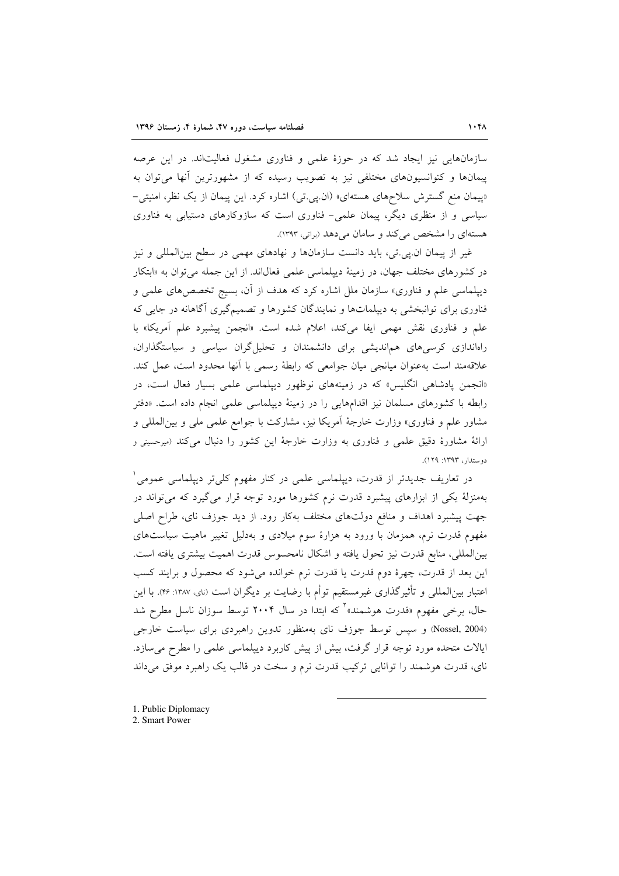سازمانهایی نیز ایجاد شد که در حوزهٔ علمی و فناوری مشغول فعالیتاند. در این عرصه ییمانها و کنوانسیونهای مختلفی نیز به تصویب رسیده که از مشهورترین آنها می توان به «پیمان منع گسترش سلاحهای هستهای» (ان.پی.تی) اشاره کرد. این پیمان از یک نظر، امنیتی-سیاسی و از منظری دیگر، پیمان علمی– فناوری است که سازوکارهای دستیابی به فناوری هستهای را مشخص می کند و سامان می دهد (براتی، ۱۳۹۳).

غیر از پیمان ان پی تی، باید دانست سازمانها و نهادهای مهمی در سطح بین المللی و نیز در کشورهای مختلف جهان، در زمینهٔ دیپلماسی علمی فعال(ند. از این جمله می توان به «ابتکار دیپلماسی علم و فناوری» سازمان ملل اشاره کرد که هدف از آن، بسیج تخصص های علمی و فناوری برای توانبخشی به دیپلماتها و نمایندگان کشورها و تصمیمگیری آگاهانه در جایی که علم و فناوري نقش مهمي ايفا مي كند، اعلام شده است. «انجمن پيشبرد علم أمريكا» با راهاندازی کرسی های هماندیشی برای دانشمندان و تحلیل گران سیاسی و سیاستگذاران، علاقهمند است بهعنوان میانجی میان جوامعی که رابطهٔ رسمی با اَنها محدود است، عمل کند. «انجمن پادشاهی انگلیس» که در زمینههای نوظهور دیپلماسی علمی بسیار فعال است، در رابطه با کشورهای مسلمان نیز اقدامهایی را در زمینهٔ دیپلماسی علمی انجام داده است. «دفتر مشاور علم و فناوری» وزارت خارجهٔ آمریکا نیز، مشارکت با جوامع علمی مل<sub>ی</sub> و بین|لمللی و ارائهٔ مشاورهٔ دقیق علمی و فناوری به وزارت خارجهٔ این کشور را دنبال میکند (میرحسینی و دوستدار، ۱۳۹۳: ۱۲۹).

در تعاریف جدیدتر از قدرت، دیپلماسی علمی در کنار مفهوم کلیتر دیپلماسی عمومی ٔ بهمنزلهٔ یکی از ابزارهای پیشبرد قدرت نرم کشورها مورد توجه قرار میگیرد که میتواند در جهت پیشبرد اهداف و منافع دولتهای مختلف بهکار رود. از دید جوزف نای، طراح اصلی مفهوم قدرت نرم، همزمان با ورود به هزارهٔ سوم میلادی و بهدلیل تغییر ماهیت سیاستهای بين|لمللي، منابع قدرت نيز تحول يافته و اشكال نامحسوس قدرت اهميت بيشترى يافته است. این بعد از قدرت، چهرهٔ دوم قدرت یا قدرت نرم خوانده می شود که محصول و برایند کسب اعتبار بین|لمللی و تأثیرگذاری غیرمستقیم توأم با رضایت بر دیگران است (نای، ۱۳۸۷: ۴۶). با این حال، برخی مفهوم «قدرت هوشمند»<sup>۲</sup> که ابتدا در سال ۲۰۰۴ توسط سوزان ناسل مطرح شد (Nossel, 2004) و سیس توسط جوزف نای بهمنظور تدوین راهبردی برای سیاست خارجی ایالات متحده مورد توجه قرار گرفت، بیش از پیش کاربرد دیپلماسی علمی را مطرح میسازد. نای، قدرت هوشمند را توانایی ترکیب قدرت نرم و سخت در قالب یک راهبرد موفق میداند

1. Public Diplomacy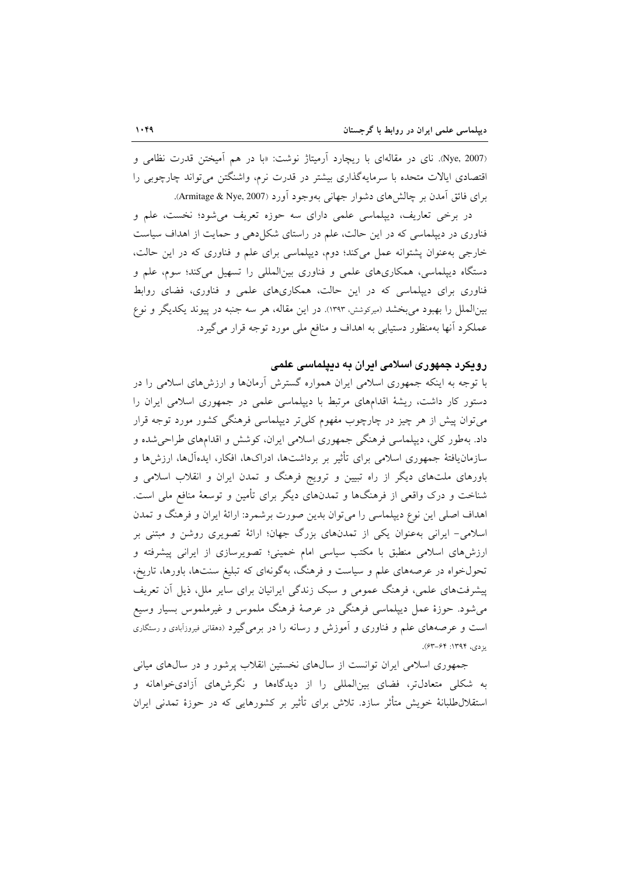(Nye, 2007). نای در مقالهای با ریچارد آرمیتاژ نوشت: «با در هم آمیختن قدرت نظامی و اقتصادی ایالات متحده با سرمایهگذاری بیشتر در قدرت نرم، واشنگتن می تواند چارچوبی را برای فائق آمدن بر چالشهای دشوار جهانی بهوجود آورد (Armitage & Nye, 2007).

در برخی تعاریف، دیپلماسی علمی دارای سه حوزه تعریف می شود؛ نخست، علم و فناوری در دیپلماسی که در این حالت، علم در راستای شکل(هی و حمایت از اهداف سیاست خارجی بهعنوان پشتوانه عمل میکند؛ دوم، دیپلماسی برای علم و فناوری که در این حالت، دستگاه دیپلماسی، همکاریهای علمی و فناوری بینالمللی را تسهیل میکند؛ سوم، علم و فناوری برای دیپلماسی که در این حالت، همکاریهای علمی و فناوری، فضای روابط بینالملل را بهبود میبخشد (میرکوشش، ۱۳۹۳). در این مقاله، هر سه جنبه در پیوند یکدیگر و نوع عملکرد آنها بهمنظور دستیابی به اهداف و منافع ملی مورد توجه قرار می گیرد.

#### رویکرد جمهوری اسلامی ایران به دیپلماسی علمی

با توجه به اینکه جمهوری اسلامی ایران همواره گسترش آرمانها و ارزشهای اسلامی را در دستور کار داشت، ریشهٔ اقدامهای مرتبط با دیپلماسی علمی در جمهوری اسلامی ایران را میتوان پیش از هر چیز در چارچوب مفهوم کلی تر دیپلماسی فرهنگی کشور مورد توجه قرار داد. بهطور کلی، دیپلماسی فرهنگی جمهوری اسلامی ایران، کوشش و اقدامهای طراحی شده و سازمان یافتهٔ جمهوری اسلامی برای تأثیر بر برداشتها، ادراکها، افکار، ایدهآلها، ارزش۵ها و باورهای ملتهای دیگر از راه تبیین و ترویج فرهنگ و تمدن ایران و انقلاب اسلامی و شناخت و درک واقعی از فرهنگها و تمدنهای دیگر برای تأمین و توسعهٔ منافع ملی است. اهداف اصلی این نوع دیپلماسی را میتوان بدین صورت برشمرد: ارائهٔ ایران و فرهنگ و تمدن اسلامی- ایرانی بهعنوان یکی از تمدنهای بزرگ جهان؛ ارائهٔ تصویری روشن و مبتنی بر ارزش۵ای اسلامی منطبق با مکتب سیاسی امام خمینی؛ تصویرسازی از ایرانی پیشرفته و تحولخواه در عرصههای علم و سیاست و فرهنگ، بهگونهای که تبلیغ سنتها، باورها، تاریخ، پیشرفتهای علمی، فرهنگ عمومی و سبک زندگی ایرانیان برای سایر ملل، ذیل آن تعریف مې شود. حوزهٔ عمل دیپلماسي فرهنگې در عرصهٔ فرهنگ ملموس و غیرملموس بسیار وسیع است و عرصههای علم و فناوری و آموزش و رسانه را در برمیگیرد (دهقانی فیروزآبادی و رستگاری  $(54 - 54)$ : 1397).

جمهوری اسلامی ایران توانست از سالهای نخستین انقلاب پرشور و در سالهای میانی به شکلی متعادلتر، فضای بینالمللی را از دیدگاهها و نگرشهای آزادیخواهانه و استقلالطلبانهٔ خویش متأثر سازد. تلاش برای تأثیر بر کشورهایی که در حوزهٔ تمدنی ایران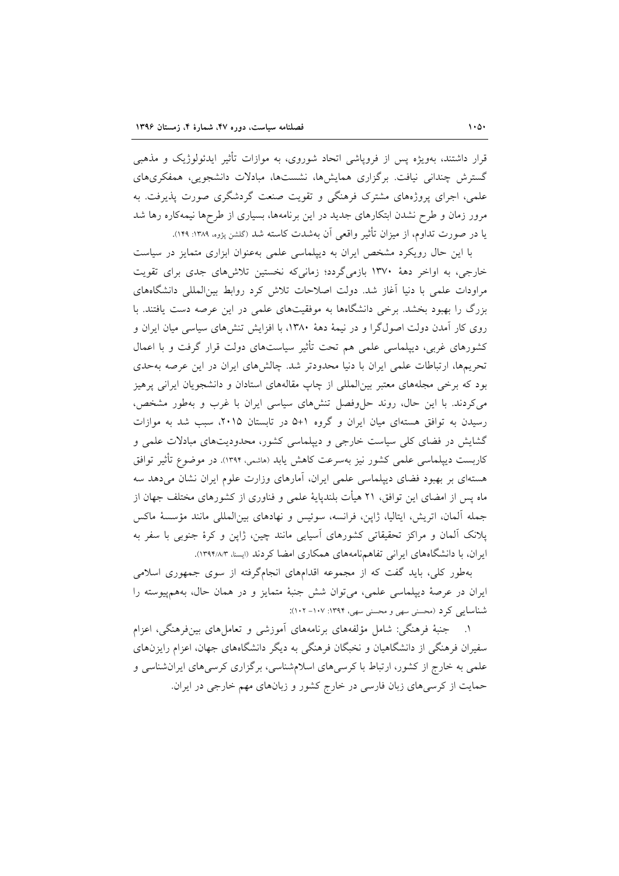قرار داشتند، بهویژه پس از فروپاشی اتحاد شوروی، به موازات تأثیر ایدئولوژیک و مذهبی گسترش چندانی نیافت. برگزاری همایش ها، نشستها، مبادلات دانشجویی، همفکری های علمی، اجرای پروژههای مشترک فرهنگی و تقویت صنعت گردشگری صورت پذیرفت. به مرور زمان و طرح نشدن ابتکارهای جدید در این برنامهها، بسیاری از طرحها نیمهکاره رها شد یا در صورت تداوم، از میزان تأثیر واقعی آن بهشدت کاسته شد (گلشن پژوه، ۱۳۸۹: ۱۴۹).

با این حال رویکرد مشخص ایران به دیپلماسی علمی بهعنوان ابزاری متمایز در سیاست خارجی، به اواخر دههٔ ۱۳۷۰ بازمیگردد؛ زمانی که نخستین تلاشهای جدی برای تقویت مراودات علمی با دنیا آغاز شد. دولت اصلاحات تلاش کرد روابط بین(لمللی دانشگاههای بزرگ را بهبود بخشد. برخی دانشگاهها به موفقیتهای علمی در این عرصه دست یافتند. با روی کار آمدن دولت اصولگرا و در نیمهٔ دههٔ ۱۳۸۰، با افزایش تنشهای سیاسی میان ایران و کشورهای غربی، دیپلماسی علمی هم تحت تأثیر سیاستهای دولت قرار گرفت و با اعمال تحریمها، ارتباطات علمی ایران با دنیا محدودتر شد. چالشهای ایران در این عرصه بهحدی بود که برخی مجلههای معتبر بینالمللی از چاپ مقالههای استادان و دانشجویان ایرانی پرهیز می کردند. با این حال، روند حل وفصل تنش های سیاسی ایران با غرب و بهطور مشخص، رسیدن به توافق هستهای میان ایران و گروه ١+۵ در تابستان ٢٠١۵، سبب شد به موازات گشایش در فضای کلی سیاست خارجی و دیپلماسی کشور، محدودیتهای مبادلات علمی و کاربست دیپلماسی علمی کشور نیز بهسرعت کاهش یابد (هاشمی، ۱۳۹۴). در موضوع تأثیر توافق هستهای بر بهبود فضای دیپلماسی علمی ایران، آمارهای وزارت علوم ایران نشان میدهد سه ماه پس از امضای این توافق، ۲۱ هیأت بلندپایهٔ علمی و فناوری از کشورهای مختلف جهان از جمله ألمان، اتریش، ایتالیا، ژاپن، فرانسه، سوئیس و نهادهای بینالمللی مانند مؤسسهٔ ماکس پلانک آلمان و مراکز تحقیقاتی کشورهای آسیایی مانند چین، ژاپن و کرهٔ جنوبی با سفر به ایران، با دانشگاههای ایرانی تفاهمنامههای همکاری امضا کردند (ایسنا، ۱۳۹۴/۸/۳).

بهطور کلی، باید گفت که از مجموعه اقدامهای انجامگرفته از سوی جمهوری اسلامی ايران در عرصهٔ ديپلماسي علمي، مي توان شش جنبهٔ متمايز و در همان حال، بههمپيوسته را شناسایی کرد (محسنی سهی و محسنی سهی، ۱۳۹۴: ۱۰۷– ۱۰۲):

۱. حجنبهٔ فرهنگی: شامل مؤلفههای برنامههای آموزشی و تعاملهای بینفرهنگی، اعزام سفیران فرهنگی از دانشگاهیان و نخبگان فرهنگی به دیگر دانشگاههای جهان، اعزام رایزنهای علمی به خارج از کشور، ارتباط با کرسیهای اسلامشناسی، برگزاری کرسیهای ایرانشناسی و حمایت از کرسیهای زبان فارسی در خارج کشور و زبانهای مهم خارجی در ایران.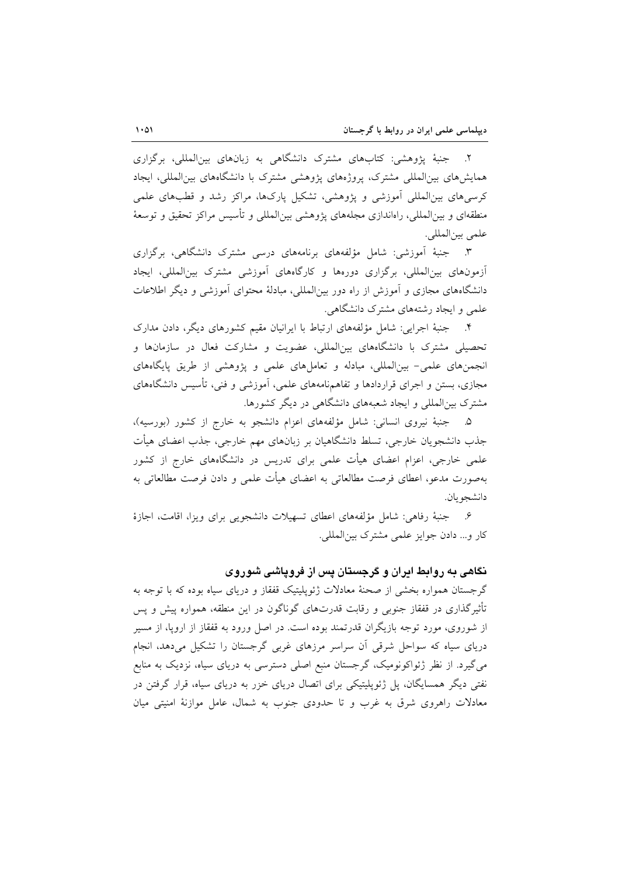۲. جنبهٔ یژوهشی: کتابهای مشترک دانشگاهی به زبانهای بینالمللی، برگزاری همایشهای بینالمللی مشترک، پروژههای پژوهشی مشترک با دانشگاههای بین المللی، ایجاد کرسیهای بینالمللی اَموزشی و پژوهشی، تشکیل پارکها، مراکز رشد و قطبهای علمی منطقهای و بین|لمللی، راهاندازی مجلههای یژوهشی بین|لمللی و تأسیس مراکز تحقیق و توسعهٔ علمي بين المللي.

۳. جنبهٔ آموزشی: شامل مؤلفههای برنامههای درسی مشترک دانشگاهی، برگزاری أزمونهای بین|لمللی، برگزاری دورهها و کارگاههای أموزشی مشترک بین|لمللی، ایجاد دانشگاههای مجازی و آموزش از راه دور بینالمللی، مبادلهٔ محتوای آموزشی و دیگر اطلاعات علمی و ایجاد رشتههای مشترک دانشگاهی.

۴. جنبهٔ اجرایی: شامل مؤلّفههای ارتباط با ایرانیان مقیم کشورهای دیگر، دادن مدارک تحصیلی مشترک با دانشگاههای بینالمللی، عضویت و مشارکت فعال در سازمانها و انجمنهای علمی- بینالمللی، مبادله و تعاملهای علمی و پژوهشی از طریق پایگاههای مجازی، بستن و اجرای قراردادها و تفاهمنامههای علمی، آموزشی و فنی، تأسیس دانشگاههای مشترک بینالمللی و ایجاد شعبههای دانشگاهی در دیگر کشورها.

۵. - جنبهٔ نیروی انسانی: شامل مؤلفههای اعزام دانشجو به خارج از کشور (بورسیه)، جذب دانشجویان خارجی، تسلط دانشگاهیان بر زبانهای مهم خارجی، جذب اعضای هیأت علمی خارجی، اعزام اعضای هیأت علمی برای تدریس در دانشگاههای خارج از کشور بهصورت مدعو، اعطای فرصت مطالعاتی به اعضای هیأت علمی و دادن فرصت مطالعاتی به دانشجو بان.

۶. جنبهٔ رفاهی: شامل مؤلفههای اعطای تسهیلات دانشجویی برای ویزا، اقامت، اجازهٔ كار و... دادن جوايز علمي مشترك بين المللي.

# نگاهی به روابط ایران و گرجستان پس از فروپاشی شوروی

گرجستان همواره بخشی از صحنهٔ معادلات ژئوپلیتیک قفقاز و دریای سیاه بوده که با توجه به تأثیرگذاری در قفقاز جنوبی و رقابت قدرتهای گوناگون در این منطقه، همواره پیش و پس از شوروی، مورد توجه بازیگران قدرتمند بوده است. در اصل ورود به قفقاز از اروپا، از مسیر دریای سیاه که سواحل شرقی آن سراسر مرزهای غربی گرجستان را تشکیل میدهد، انجام می گیرد. از نظر ژئواکونومیک، گرجستان منبع اصلی دسترسی به دریای سیاه، نزدیک به منابع نفتی دیگر همسایگان، پل ژئوپلیتیکی برای اتصال دریای خزر به دریای سیاه، قرار گرفتن در معادلات راهروی شرق به غرب و تا حدودی جنوب به شمال، عامل موازنهٔ امنیتی میان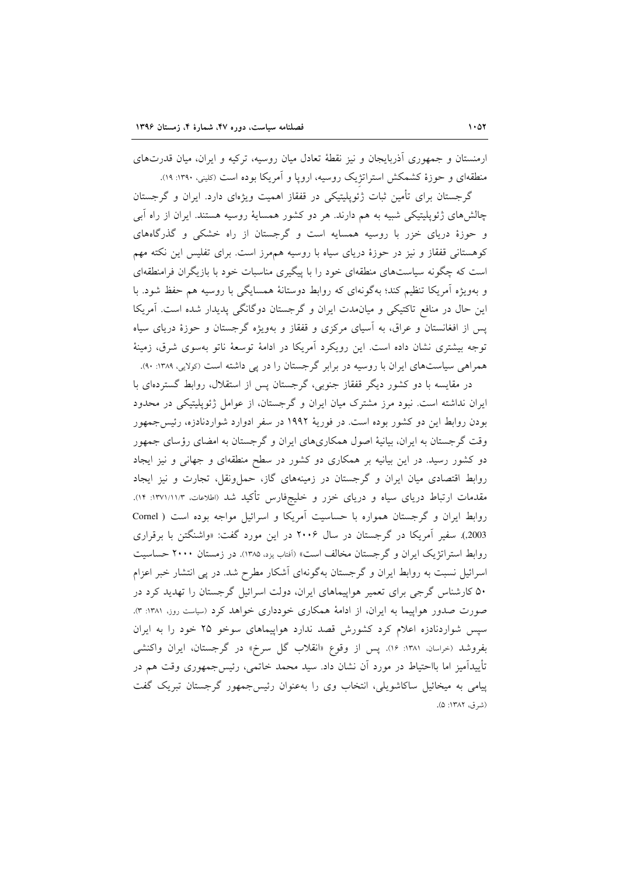ارمنستان و جمهوری اَذربایجان و نیز نقطهٔ تعادل میان روسیه، ترکیه و ایران، میان قدرتهای منطقهای و حوزهٔ کشمکش استراتژیک روسیه، اروپا و آمریکا بوده است (کلینی، ۱۳۹۰: ۱۹).

گرجستان برای تأمین ثبات ژئوپلیتیکی در قفقاز اهمیت ویژهای دارد. ایران و گرجستان چالشهای ژئوپلیتیکی شبیه به هم دارند. هر دو کشور همسایهٔ روسیه هستند. ایران از راه آبی و حوزهٔ دریای خزر با روسیه همسایه است و گرجستان از راه خشکی و گذرگاههای کوهستانی قفقاز و نیز در حوزهٔ دریای سیاه با روسیه همهمرز است. برای تفلیس این نکته مهم است که چگونه سیاستهای منطقهای خود را با پیگیری مناسبات خود با بازیگران فرامنطقهای و بهویژه اَمریکا تنظیم کند؛ بهگونهای که روابط دوستانهٔ همسایگی با روسیه هم حفظ شود. با این حال در منافع تاکتیکی و میان مدت ایران و گرجستان دوگانگی پدیدار شده است. آمریکا یس از افغانستان و عراق، به آسیای مرکزی و قفقاز و بهویژه گرجستان و حوزهٔ دریای سیاه توجه بیشتری نشان داده است. این رویکرد آمریکا در ادامهٔ توسعهٔ ناتو بهسوی شرق، زمینهٔ همراهی سیاستهای ایران با روسیه در برابر گرجستان را در پی داشته است (تولایی، ۱۳۸۹: ۹۰).

در مقایسه با دو کشور دیگر قفقاز جنوبی، گرجستان پس از استقلال، روابط گستردهای با ایران نداشته است. نبود مرز مشترک میان ایران و گرجستان، از عوامل ژئوپلیتیکی در محدود بودن روابط این دو کشور بوده است. در فوریهٔ ۱۹۹۲ در سفر ادوارد شواردنادزه، رئیس جمهور وقت گرجستان به ایران، بیانیهٔ اصول همکاریهای ایران و گرجستان به امضای رؤسای جمهور دو کشور رسید. در این بیانیه بر همکاری دو کشور در سطح منطقهای و جهانی و نیز ایجاد روابط اقتصادی میان ایران و گرجستان در زمینههای گاز، حملونقل، تجارت و نیز ایجاد مقدمات ارتباط دریای سیاه و دریای خزر و خلیجفارس تأکید شد (اطلاعات، ۱۳۷۱/۱۱/۳: ۱۴). روابط ایران و گرجستان همواره با حساسیت آمریکا و اسرائیل مواجه بوده است ( Cornel 2003). سفیر آمریکا در گرجستان در سال ۲۰۰۶ در این مورد گفت: «واشنگتن با برقراری روابط استراتژیک ایران و گرجستان مخالف است» (أفتاب یزد، ۱۳۸۵). در زمستان ۲۰۰۰ حساسیت اسرائیل نسبت به روابط ایران و گرجستان بهگونهای آشکار مطرح شد. در پی انتشار خبر اعزام ۵۰ کارشناس گرجی برای تعمیر هواپیماهای ایران، دولت اسرائیل گرجستان را تهدید کرد در صورت صدور هواپیما به ایران، از ادامهٔ همکاری خودداری خواهد کرد (سیاست روز، ۱۳۸۱: ۳). سپس شواردنادزه اعلام کرد کشورش قصد ندارد هواپیماهای سوخو ۲۵ خود را به ایران بفروشد (خراسان، ۱۳۸۱: ۱۶). پس از وقوع «انقلاب گل سرخ» در گرجستان، ایران واکنشی تأييدآميز اما بااحتياط در مورد اّن نشان داد. سيد محمد خاتمي، رئيسجمهوري وقت هم در پیامی به میخائیل ساکاشویلی، انتخاب وی را به عنوان رئیس جمهور گرجستان تبریک گفت (شرق، ۱۳۸۲: ۵).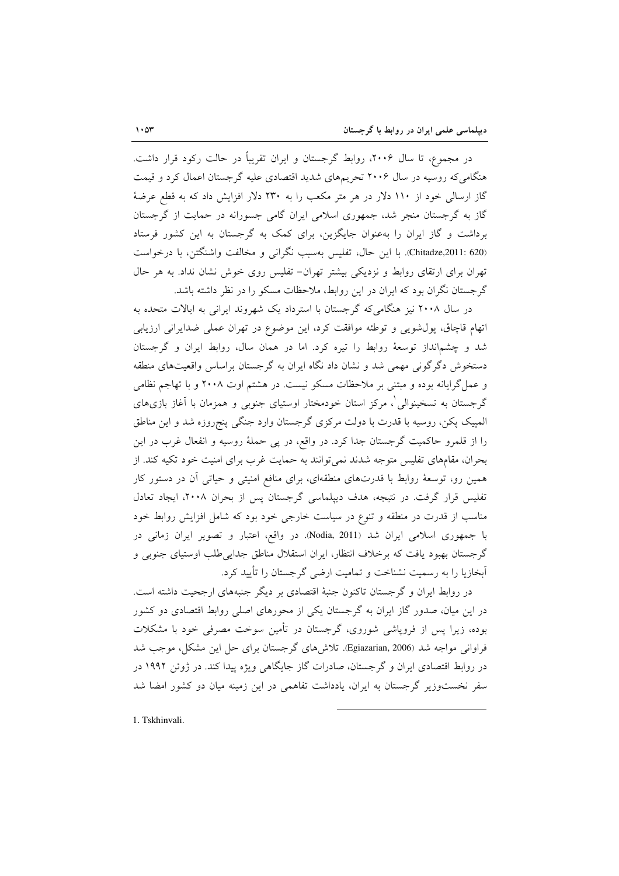در مجموع، تا سال ۲۰۰۶، روابط گرجستان و ایران تقریباً در حالت رکود قرار داشت. هنگامی که روسیه در سال ۲۰۰۶ تجریمهای شدید اقتصادی علیه گرجستان اعمال کرد و قیمت گاز ارسالی خود از ۱۱۰ دلار در هر متر مکعب را به ۲۳۰ دلار افزایش داد که به قطع عرضهٔ گاز به گرجستان منجر شد، جمهوری اسلامی ایران گامی جسورانه در حمایت از گرجستان برداشت و گاز ایران را بهعنوان جایگزین، برای کمک به گرجستان به این کشور فرستاد (Chitadze,2011: 620). با این حال، تفلیس بهسبب نگرانی و مخالفت واشنگتن، با درخواست تهران برای ارتقای روابط و نزدیکی بیشتر تهران- تفلیس روی خوش نشان نداد. به هر حال گر جستان نگران بود که ایران در این روابط، ملاحظات مسکو را در نظر داشته باشد.

در سال ۲۰۰۸ نیز هنگامی که گرجستان با استرداد یک شهروند ایرانی به ایالات متحده به اتهام قاچاق، پول شویی و توطئه موافقت کرد، این موضوع در تهران عملی ضدایرانی ارزیابی شد و چشمانداز توسعهٔ روابط را تیره کرد. اما در همان سال، روابط ایران و گرجستان دستخوش دگرگونی مهمی شد و نشان داد نگاه ایران به گرجستان براساس واقعیتهای منطقه و عمل گرایانه بوده و مبتنی بر ملاحظات مسکو نیست. در هشتم اوت ۲۰۰۸ و با تهاجم نظامی گرجستان به تسخینوالی ْ، مرکز استان خودمختار اوستیای جنوبی و همزمان با آغاز بازیهای المپیک پکن، روسیه با قدرت با دولت مرکزی گرجستان وارد جنگی پنجروزه شد و این مناطق را از قلمرو حاکمیت گرجستان جدا کرد. در واقع، در پی حملهٔ روسیه و انفعال غرب در این بحران، مقامهای تفلیس متوجه شدند نمی توانند به حمایت غرب برای امنیت خود تکیه کند. از همین رو، توسعهٔ روابط با قدرتهای منطقهای، برای منافع امنیتی و حیاتی آن در دستور کار تفلیس قرار گرفت. در نتیجه، هدف دیپلماسی گرجستان پس از بحران ۲۰۰۸، ایجاد تعادل مناسب از قدرت در منطقه و تنوع در سیاست خارجی خود بود که شامل افزایش روابط خود با جمهوری اسلامی ایران شد (Nodia, 2011). در واقع، اعتبار و تصویر ایران زمانی در گرجستان بهبود یافت که برخلاف انتظار، ایران استقلال مناطق جدایی طلب اوستیای جنوبی و آبخازیا را به رسمیت نشناخت و تمامیت ارضی گرجستان را تأیید کرد.

در روابط ایران و گرجستان تاکنون جنبهٔ اقتصادی بر دیگر جنبههای ارجحیت داشته است. در این میان، صدور گاز ایران به گرجستان یکی از محورهای اصلی روابط اقتصادی دو کشور بوده، زیرا پس از فروپاشی شوروی، گرجستان در تأمین سوخت مصرفی خود با مشکلات فراوانی مواجه شد (Egiazarian, 2006). تلاش های گرجستان برای حل این مشکل، موجب شد در روابط اقتصادی ایران و گر جستان، صادرات گاز جایگاهی ویژه پیدا کند. در ژوئن ۱۹۹۲ در سفر نخستوزیر گرجستان به ایران، یادداشت تفاهمی در این زمینه میان دو کشور امضا شد

1. Tskhinvali.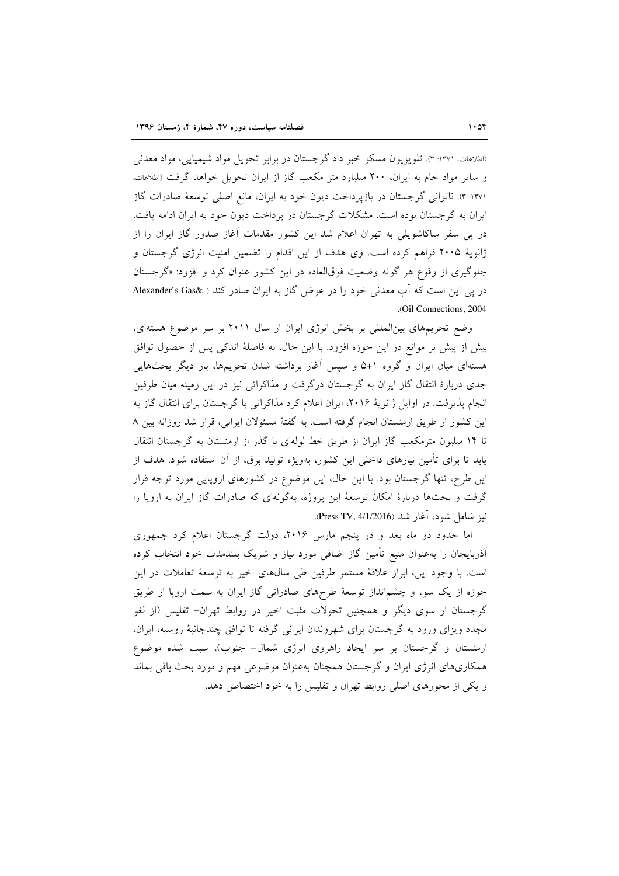(اطلاعات، ١٣٧١: ٣). تلويزيون مسكو خبر داد گرجستان در برابر تحويل مواد شيميايي، مواد معدني و سایر مواد خام به ایران، ۲۰۰ میلیارد متر مکعب گاز از ایران تحویل خواهد گرفت (اطلاعات، ۱۳۷۱: ۳). ناتوانی گرجستان در بازپرداخت دیون خود به ایران، مانع اصلی توسعهٔ صادرات گاز ایران به گرجستان بوده است. مشکلات گرجستان در پرداخت دیون خود به ایران ادامه یافت. در یی سفر ساکاشویلی به تهران اعلام شد این کشور مقدمات آغاز صدور گاز ایران را از ژانویهٔ ۲۰۰۵ فراهم کرده است. وی هدف از این اقدام را تضمین امنیت انرژی گرجستان و جلوگیری از وقوع هر گونه وضعیت فوقالعاده در این کشور عنوان کرد و افزود: «گرجستان در پی این است که آب معدنی خود را در عوض گاز به ایران صادر کند ( &Alexander's Gas .(Oil Connections, 2004)

وضع تحریمهای بین المللی بر بخش انرژی ایران از سال ۲۰۱۱ بر سر موضوع هستهای، بیش از پیش بر موانع در این حوزه افزود. با این حال، به فاصلهٔ اندکی پس از حصول توافق هستهای میان ایران و گروه ۱+۵ و سپس آغاز برداشته شدن تحریمها، بار دیگر بحثهایی جدی دربارهٔ انتقال گاز ایران به گرجستان درگرفت و مذاکراتی نیز در این زمینه میان طرفین انجام پذیرفت. در اوایل ژانویهٔ ۲۰۱۶، ایران اعلام کرد مذاکراتی با گرجستان برای انتقال گاز به این کشور از طریق ارمنستان انجام گرفته است. به گفتهٔ مسئولان ایرانی، قرار شد روزانه بین ۸ تا ۱۴ میلیون مترمکعب گاز ایران از طریق خط لولهای با گذر از ارمنستان به گرجستان انتقال یابد تا برای تأمین نیازهای داخلی این کشور، بهویژه تولید برق، از آن استفاده شود. هدف از این طرح، تنها گرجستان بود. با این حال، این موضوع در کشورهای اروپایی مورد توجه قرار گرفت و بحثها دربارهٔ امکان توسعهٔ این پروژه، بهگونهای که صادرات گاز ایران به اروپا را نيز شامل شود، آغاز شد (Press TV, 4/1/2016).

اما حدود دو ماه بعد و در پنجم مارس ۲۰۱۶، دولت گرجستان اعلام کرد جمهوری اَذربایجان را بهعنوان منبع تأمین گاز اضافی مورد نیاز و شریک بلندمدت خود انتخاب کرده است. با وجود این، ابراز علاقهٔ مستمر طرفین طی سالهای اخیر به توسعهٔ تعاملات در این حوزه از یک سو، و چشمانداز توسعهٔ طرحهای صادراتی گاز ایران به سمت اروپا از طریق گرجستان از سوی دیگر و همچنین تحولات مثبت اخیر در روابط تهران– تفلیس (از لغو مجدد ویزای ورود به گرجستان برای شهروندان ایرانی گرفته تا توافق چندجانبهٔ روسیه، ایران، ارمنستان و گرجستان بر سر ایجاد راهروی انرژی شمال- جنوب)، سبب شده موضوع همکاریهای انرژی ایران و گرجستان همچنان بهعنوان موضوعی مهم و مورد بحث باقی بماند و یکی از محورهای اصلی روابط تهران و تفلیس را به خود اختصاص دهد.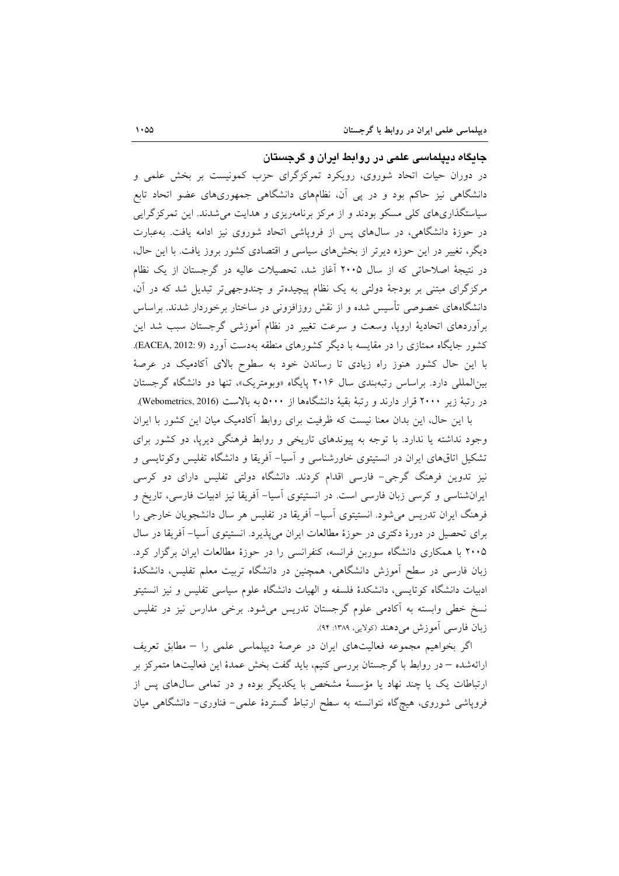#### جایگاه دیپلماسی علمی در روابط ایران و گرجستان

در دوران حیات اتحاد شوروی، رویکرد تمرکزگرای حزب کمونیست بر بخش علمی و دانشگاهی نیز حاکم بود و در یی آن، نظامهای دانشگاهی جمهوریهای عضو اتحاد تابع سیاستگذاریهای کلی مسکو بودند و از مرکز برنامهریزی و هدایت می شدند. این تمرکز گرایی در حوزهٔ دانشگاهی، در سالهای پس از فروپاشی اتحاد شوروی نیز ادامه یافت. بهعبارت دیگر، تغییر در این حوزه دیرتر از بخشهای سیاسی و اقتصادی کشور بروز یافت. با این حال، در نتیجهٔ اصلاحاتی که از سال ۲۰۰۵ آغاز شد، تحصیلات عالیه در گرجستان از یک نظام مرکزگرای مبتنی بر بودجهٔ دولتی به یک نظام پیچیدهتر و چندوجهی تر تبدیل شد که در آن، دانشگاههای خصوصی تأسیس شده و از نقش روزافزونی در ساختار برخوردار شدند. براساس برآوردهای اتحادیهٔ اروپا، وسعت و سرعت تغییر در نظام آموزشی گرجستان سبب شد این کشور جایگاه ممتازی را در مقایسه با دیگر کشورهای منطقه بهدست آورد (EACEA, 2012: 9. با این حال کشور هنوز راه زیادی تا رساندن خود به سطوح بالای آکادمیک در عرصهٔ بین المللی دارد. براساس رتبهبندی سال ۲۰۱۶ پایگاه «وبومتریک»، تنها دو دانشگاه گرجستان در رتبهٔ زیر ۲۰۰۰ قرار دارند و رتبهٔ بقیهٔ دانشگاهها از ۵۰۰۰ به بالاست (Webometrics, 2016).

با این حال، این بدان معنا نیست که ظرفیت برای روابط آکادمیک میان این کشور با ایران وجود نداشته یا ندارد. با توجه به پیوندهای تاریخی و روابط فرهنگی دیریا، دو کشور برای تشکیل اتاقهای ایران در انستیتوی خاورشناسی و آسیا- آفریقا و دانشگاه تفلیس وکوتایسی و نیز تدوین فرهنگ گرجی- فارسی اقدام کردند. دانشگاه دولتی تفلیس دارای دو کرسی ایرانشناسی و کرسی زبان فارسی است. در انستیتوی آسیا- آفریقا نیز ادبیات فارسی، تاریخ و فرهنگ ایران تدریس می شود. انستیتوی آسیا– آفریقا در تفلیس هر سال دانشجویان خارجی را برای تحصیل در دورهٔ دکتری در حوزهٔ مطالعات ایران می پذیرد. انستیتوی آسیا– آفریقا در سال ۲۰۰۵ با همکاری دانشگاه سوربن فرانسه، کنفرانسی را در حوزهٔ مطالعات ایران برگزار کرد. زبان فارسی در سطح آموزش دانشگاهی، همچنین در دانشگاه تربیت معلم تفلیس، دانشکدهٔ ادبیات دانشگاه کوتایسی، دانشکدهٔ فلسفه و الهیات دانشگاه علوم سیاسی تفلیس و نیز انستیتو نسخ خطی وابسته به آکادمی علوم گرجستان تدریس میشود. برخی مدارس نیز در تفلیس زبان فارسی آموزش می دهند (کولایی، ۱۳۸۹: ۹۴).

اگر بخواهیم مجموعه فعالیتهای ایران در عرصهٔ دیپلماسی علمی را – مطابق تعریف ارائهشده – در روابط با گرجستان بررسی کنیم، باید گفت بخش عمدهٔ این فعالیتها متمرکز بر ارتباطات یک یا چند نهاد یا مؤسسهٔ مشخص با یکدیگر بوده و در تمامی سال های پس از فروپاشی شوروی، هیچگاه نتوانسته به سطح ارتباط گستردهٔ علمی- فناوری- دانشگاهی میان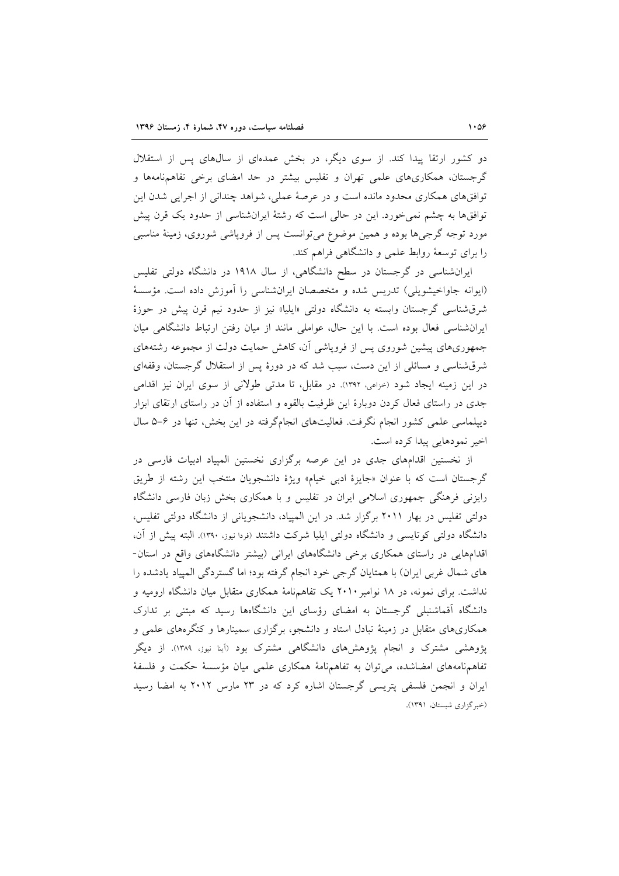دو کشور ارتقا پیدا کند. از سوی دیگر، در بخش عمدهای از سالهای پس از استقلال گر جستان، همکاریهای علمی تهران و تفلیس بیشتر در حد امضای برخی تفاهم نامهها و توافقهای همکاری محدود مانده است و در عرصهٔ عملی، شواهد چندانی از اجرایی شدن این توافقها به چشم نمیخورد. این در حالی است که رشتهٔ ایرانشناسی از حدود یک قرن پیش مورد توجه گرجیها بوده و همین موضوع میتوانست پس از فروپاشی شوروی، زمینهٔ مناسبی را برای توسعهٔ روابط علمی و دانشگاهی فراهم کند.

ایرانشناسی در گرجستان در سطح دانشگاهی، از سال ۱۹۱۸ در دانشگاه دولتی تفلیس (ايوانه جاواخيشويلي) تدريس شده و متخصصان ايرانشناسي را آموزش داده است. مؤسسة شرقشناسی گرجستان وابسته به دانشگاه دولتی «ایلیا» نیز از حدود نیم قرن پیش در حوزهٔ ایرانشناسی فعال بوده است. با این حال، عواملی مانند از میان رفتن ارتباط دانشگاهی میان جمهوریهای پیشین شوروی پس از فرویاشی آن، کاهش حمایت دولت از مجموعه رشتههای شرقشناسی و مسائلی از این دست، سبب شد که در دورهٔ پس از استقلال گرجستان، وقفهای در این زمینه ایجاد شود (خزاعی، ۱۳۹۲). در مقابل، تا مدتی طولانی از سوی ایران نیز اقدامی جدی در راستای فعال کردن دوبارهٔ این ظرفیت بالقوه و استفاده از آن در راستای ارتقای ابزار دیپلماسی علمی کشور انجام نگرفت. فعالیتهای انجامگرفته در این بخش، تنها در ۶-۵ سال اخير نمودهايي پيدا كرده است.

از نخستین اقدامهای جدی در این عرصه برگزاری نخستین المپیاد ادبیات فارسی در گرجستان است كه با عنوان «جايزهٔ ادبى خيام» ويژهٔ دانشجويان منتخب اين رشته از طريق رایزنی فرهنگی جمهوری اسلامی ایران در تفلیس و با همکاری بخش زبان فارسی دانشگاه دولتی تفلیس در بهار ۲۰۱۱ برگزار شد. در این المپیاد، دانشجویانی از دانشگاه دولتی تفلیس، دانشگاه دولتی کوتایسی و دانشگاه دولتی ایلیا شرکت داشتند (فردا نیوز، ۱۳۹۰). البته پیش از آن، اقدامهایی در راستای همکاری برخی دانشگاههای ایرانی (بیشتر دانشگاههای واقع در استان-های شمال غربی ایران) با همتایان گرجی خود انجام گرفته بود؛ اما گستردگی المپیاد یادشده را نداشت. برای نمونه، در ۱۸ نوامبر ۲۰۱۰ یک تفاهمهنامهٔ همکاری متقابل میان دانشگاه ارومیه و دانشگاه آقماشنبلی گرجستان به امضای رؤسای این دانشگاهها رسید که مبتنی بر تدارک همکاریهای متقابل در زمینهٔ تبادل استاد و دانشجو، برگزاری سمینارها و کنگرههای علمی و پژوهشی مشترک و انجام پژوهشهای دانشگاهی مشترک بود (آینا نیوز، ۱۳۸۹). از دیگر تفاهمنامههای امضاشده، می توان به تفاهمنامهٔ همکاری علمی میان مؤسسهٔ حکمت و فلسفهٔ ایران و انجمن فلسفی پتریسی گرجستان اشاره کرد که در ۲۳ مارس ۲۰۱۲ به امضا رسید (خبرگزاری شبستان، ۱۳۹۱).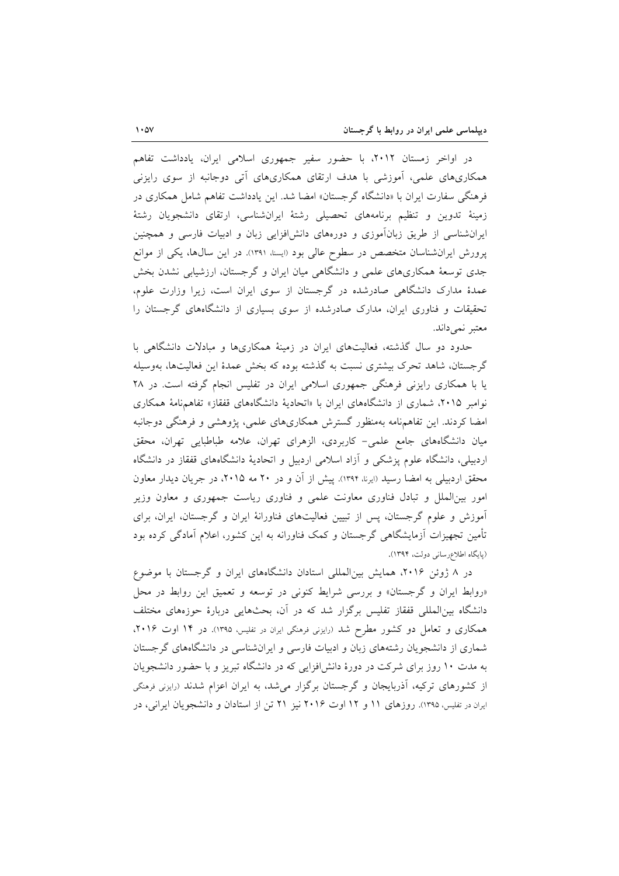در اواخر زمستان ۲۰۱۲، با حضور سفیر جمهوری اسلامی ایران، یادداشت تفاهم همکاریهای علمی، آموزشی با هدف ارتقای همکاریهای آتی دوجانبه از سوی رایزنی فرهنگی سفارت ایران با «دانشگاه گرجستان» امضا شد. این یادداشت تفاهم شامل همکاری در زمینهٔ تدوین و تنظیم برنامههای تحصیلی رشتهٔ ایرانشناسی، ارتقای دانشجویان رشتهٔ ایرانشناسی از طریق زبانآموزی و دورههای دانش افزایی زبان و ادبیات فارسی و همچنین پرورش ایرانشناسان متخصص در سطوح عالی بود (ایسنا، ۱۳۹۱). در این سالها، یکی از موانع جدی توسعهٔ همکاریهای علمی و دانشگاهی میان ایران و گرجستان، ارزشیابی نشدن بخش عمدهٔ مدارک دانشگاهی صادرشده در گرجستان از سوی ایران است، زیرا وزارت علوم، تحقیقات و فناوری ایران، مدارک صادرشده از سوی بسیاری از دانشگاههای گرجستان را معتبر نمي داند.

حدود دو سال گذشته، فعالیتهای ایران در زمینهٔ همکاریها و مبادلات دانشگاهی با گرجستان، شاهد تحرک بیشتری نسبت به گذشته بوده که بخش عمدهٔ این فعالیتها، بهوسیله یا با همکاری رایزنی فرهنگی جمهوری اسلامی ایران در تفلیس انجام گرفته است. در ۲۸ نوامبر ۲۰۱۵، شماری از دانشگاههای ایران با «اتحادیهٔ دانشگاههای قفقاز» تفاهمنامهٔ همکاری امضا کردند. این تفاهمنامه بهمنظور گسترش همکاریهای علمی، پژوهشی و فرهنگی دوجانبه میان دانشگاههای جامع علمی- کاربردی، الزهرای تهران، علامه طباطبایی تهران، محقق اردبیلی، دانشگاه علوم پزشکی و اَزاد اسلامی اردبیل و اتحادیهٔ دانشگاههای قفقاز در دانشگاه محقق اردبیلی به امضا رسید (ایرنا، ۱۳۹۴). پیش از آن و در ۲۰ مه ۲۰۱۵، در جریان دیدار معاون امور بینالملل و تبادل فناوری معاونت علمی و فناوری ریاست جمهوری و معاون وزیر آموزش و علوم گرجستان، پس از تبیین فعالیتهای فناورانهٔ ایران و گرجستان، ایران، برای تأمین تجهیزات آزمایشگاهی گرجستان و کمک فناورانه به این کشور، اعلام آمادگی کرده بود (پایگاه اطلاع رسانی دولت، ۱۳۹۴).

در ۸ ژوئن ۲۰۱۶، همایش بین المللی استادان دانشگاههای ایران و گرجستان با موضوع «روابط ایران و گرجستان» و بررسی شرایط کنونی در توسعه و تعمیق این روابط در محل دانشگاه بینالمللی قفقاز تفلیس برگزار شد که در آن، بحثهایی دربارهٔ حوزههای مختلف همکاری و تعامل دو کشور مطرح شد (رایزنی فرهنگی ایران در تفلیس، ۱۳۹۵). در ۱۴ اوت ۲۰۱۶، شماری از دانشجویان رشتههای زبان و ادبیات فارسی و ایران شناسی در دانشگاههای گرجستان به مدت ۱۰ روز برای شرکت در دورهٔ دانش!فزایی که در دانشگاه تبریز و با حضور دانشجویان از کشورهای ترکیه، آذربایجان و گرجستان برگزار میشد، به ایران اعزام شدند (رایزنی فرهنگی ایران در تفلیس، ۱۳۹۵). روزهای ۱۱ و ۱۲ اوت ۲۰۱۶ نیز ۲۱ تن از استادان و دانشجویان ایرانی، در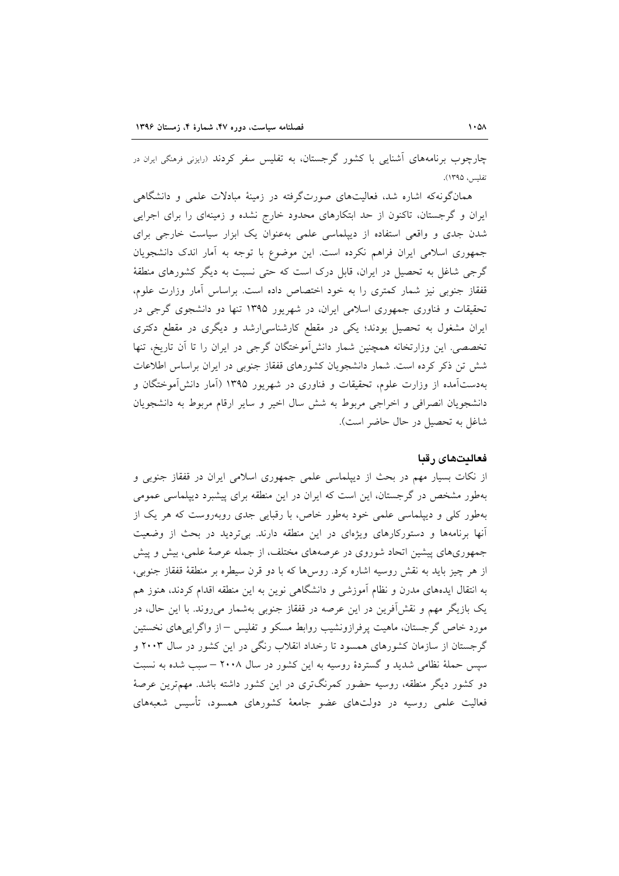چارچوب برنامههای آشنایی با کشور گرجستان، به تفلیس سفر کردند (رایزنی فرهنگی ایران در تفلس ، ١٣٩٥).

همانگونهکه اشاره شد، فعالیتهای صورتگرفته در زمینهٔ مبادلات علمی و دانشگاهی ایران و گرجستان، تاکنون از حد ابتکارهای محدود خارج نشده و زمینهای را برای اجرایی شدن جدی و واقعی استفاده از دیپلماسی علمی بهعنوان یک ابزار سیاست خارجی برای جمهوری اسلامی ایران فراهم نکرده است. این موضوع با توجه به آمار اندک دانشجویان گرجی شاغل به تحصیل در ایران، قابل درک است که حتی نسبت به دیگر کشورهای منطقهٔ قفقاز جنوبی نیز شمار کمتری را به خود اختصاص داده است. براساس آمار وزارت علوم، تحقیقات و فناوری جمهوری اسلامی ایران، در شهریور ۱۳۹۵ تنها دو دانشجوی گرجی در ایران مشغول به تحصیل بودند؛ یکی در مقطع کارشناسی(رشد و دیگری در مقطع دکتری تخصصی. این وزارتخانه همچنین شمار دانشآموختگان گرجی در ایران را تا آن تاریخ، تنها شش تن ذکر کرده است. شمار دانشجویان کشورهای قفقاز جنوبی در ایران براساس اطلاعات بهدستآمده از وزارت علوم، تحقیقات و فناوری در شهریور ۱۳۹۵ (آمار دانشآموختگان و دانشجويان انصرافي و اخراجي مربوط به شش سال اخير و ساير ارقام مربوط به دانشجويان شاغل به تحصیل در حال حاضر است).

### فعاليتهاى رقبا

از نکات بسیار مهم در بحث از دیپلماسی علمی جمهوری اسلامی ایران در قفقاز جنوبی و بهطور مشخص در گرجستان، این است که ایران در این منطقه برای پیشبرد دیپلماسی عمومی بهطور کلی و دیپلماسی علمی خود بهطور خاص، با رقبایی جدی روبهروست که هر یک از آنها برنامهها و دستورکارهای ویژهای در این منطقه دارند. بیتردید در بحث از وضعیت جمهوریهای پیشین اتحاد شوروی در عرصههای مختلف، از جمله عرصهٔ علمی، بیش و پیش از هر چیز باید به نقش روسیه اشاره کرد. روس۵ما که با دو قرن سیطره بر منطقهٔ قفقاز جنوبی، به انتقال ایدههای مدرن و نظام آموزشی و دانشگاهی نوین به این منطقه اقدام کردند، هنوز هم یک بازیگر مهم و نقش آفرین در این عرصه در قفقاز جنوبی بهشمار می روند. با این حال، در مورد خاص گرجستان، ماهیت پرفرازونشیب روابط مسکو و تفلیس –از واگراییهای نخستین گرجستان از سازمان کشورهای همسود تا رخداد انقلاب رنگی در این کشور در سال ۲۰۰۳ و سیس حملهٔ نظامی شدید و گستردهٔ روسیه به این کشور در سال ۲۰۰۸ – سبب شده به نسبت دو کشور دیگر منطقه، روسیه حضور کمرنگتری در این کشور داشته باشد. مهمترین عرصهٔ فعالیت علمی روسیه در دولتهای عضو جامعهٔ کشورهای همسود، تأسیس شعبههای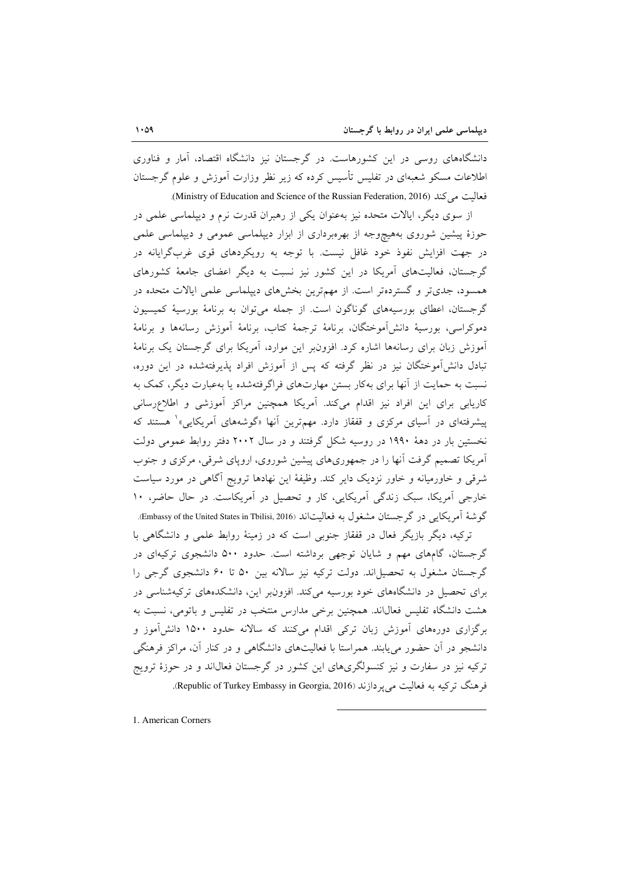دانشگاههای روسی در این کشورهاست. در گرجستان نیز دانشگاه اقتصاد، آمار و فناوری اطلاعات مسکو شعبهای در تفلیس تأسیس کرده که زیر نظر وزارت آموزش و علوم گرجستان فعاليت مي كند (Ministry of Education and Science of the Russian Federation, 2016).

از سوی دیگر، ایالات متحده نیز بهعنوان یکی از رهبران قدرت نرم و دیپلماسی علمی در حوزهٔ پیشین شوروی بههیچوجه از بهرهبرداری از ابزار دیپلماسی عمومی و دیپلماسی علمی در جهت افزایش نفوذ خود غافل نیست. با توجه به رویکردهای قوی غربگرایانه در گرجستان، فعالیتهای آمریکا در این کشور نیز نسبت به دیگر اعضای جامعهٔ کشورهای همسود، جدیتر و گستردهتر است. از مهمترین بخشهای دیپلماسی علمی ایالات متحده در گرجستان، اعطای بورسیههای گوناگون است. از جمله می توان به برنامهٔ بورسیهٔ کمیسیون دموكراسي، بورسية دانش[موختگان، برنامهٔ ترجمهٔ كتاب، برنامهٔ آموزش رسانهها و برنامهٔ آموزش زبان برای رسانهها اشاره کرد. افزون بر این موارد، آمریکا برای گرجستان یک برنامهٔ تبادل دانشآموختگان نیز در نظر گرفته که پس از آموزش افراد پذیرفتهشده در این دوره، نسبت به حمایت از آنها برای بهکار بستن مهارتهای فراگرفتهشده یا بهعبارت دیگر، کمک به کاریابی برای این افراد نیز اقدام میکند. آمریکا همچنین مراکز آموزشی و اطلاعرسانی پیشرفتهای در آسیای مرکزی و قفقاز دارد. مهمترین آنها «گوشههای آمریکایی»<sup>۱</sup> هستند که نخستین بار در دههٔ ۱۹۹۰ در روسیه شکل گرفتند و در سال ۲۰۰۲ دفتر روابط عمومی دولت آمریکا تصمیم گرفت آنها را در جمهوریهای پیشین شوروی، اروپای شرقی، مرکزی و جنوب شرقی و خاورمیانه و خاور نزدیک دایر کند. وظیفهٔ این نهادها ترویج آگاهی در مورد سیاست خارجی آمریکا، سبک زندگی آمریکایی، کار و تحصیل در آمریکاست. در حال حاضر، ۱۰ گوشهٔ اَمریکایی در گرجستان مشغول به فعالیتاند (Embassy of the United States in Tbilisi, 2016).

ترکیه، دیگر بازیگر فعال در قفقاز جنوبی است که در زمینهٔ روابط علمی و دانشگاهی با گرجستان، گامهای مهم و شایان توجهی برداشته است. حدود ۵۰۰ دانشجوی ترکیهای در گرجستان مشغول به تحصیلاند. دولت ترکیه نیز سالانه بین ۵۰ تا ۶۰ دانشجوی گرجی را برای تحصیل در دانشگاههای خود بورسیه میکند. افزونبر این، دانشکدههای ترکیهشناسی در هشت دانشگاه تفلیس فعال(ند. همچنین برخی مدارس منتخب در تفلیس و باتومی، نسبت به برگزاری دورههای آموزش زبان ترکی اقدام میکنند که سالانه حدود ۱۵۰۰ دانش آموز و دانشجو در آن حضور می پابند. همراستا با فعالیتهای دانشگاهی و در کنار آن، مراکز فرهنگی ترکیه نیز در سفارت و نیز کنسولگریهای این کشور در گرجستان فعال $اند و در حوزهٔ ترویج$ فرهنگ ترکیه به فعالیت می یردازند (Republic of Turkey Embassy in Georgia, 2016).

1. American Corners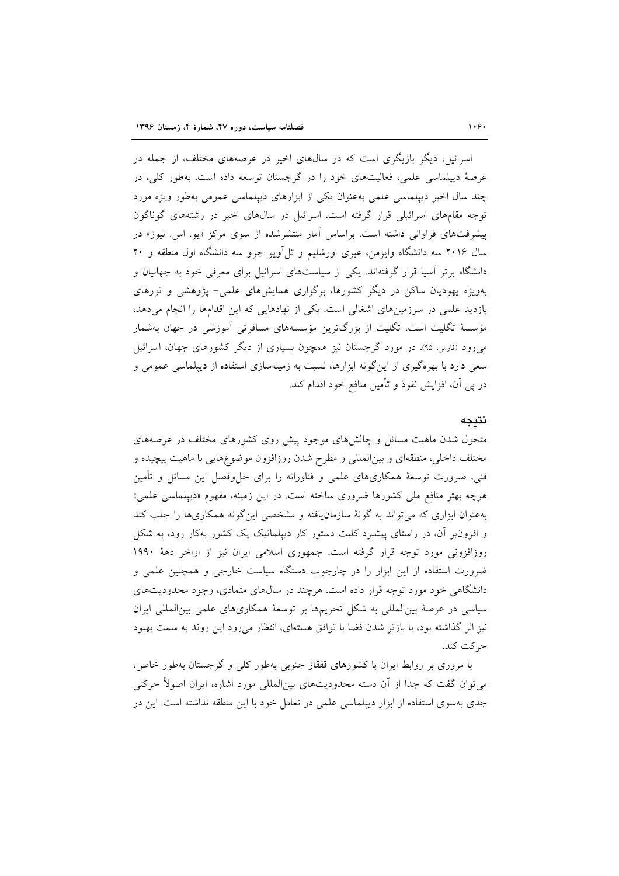اسرائیل، دیگر بازیگری است که در سال@ای اخیر در عرصههای مختلف، از جمله در عرصهٔ دیپلماسی علمی، فعالیتهای خود را در گرجستان توسعه داده است. بهطور کلی، در چند سال اخیر دیپلماسی علمی بهعنوان یکی از ابزارهای دیپلماسی عمومی بهطور ویژه مورد توجه مقامهای اسرائیلی قرار گرفته است. اسرائیل در سالهای اخیر در رشتههای گوناگون پیشرفتهای فراوانی داشته است. براساس آمار منتشرشده از سوی مرکز «یو. اس. نیوز» در سال ۲۰۱۶ سه دانشگاه وایزمن، عبری اورشلیم و تل|ویو جزو سه دانشگاه اول منطقه و ۲۰ دانشگاه برتر آسیا قرار گرفتهاند. یکی از سیاستهای اسرائیل برای معرفی خود به جهانیان و بهویژه یهودیان ساکن در دیگر کشورها، برگزاری همایشهای علمی- پژوهشی و تورهای بازدید علمی در سرزمینهای اشغالی است. یکی از نهادهایی که این اقدامها را انجام میدهد، مؤسسهٔ تگلیت است. تگلیت از بزرگترین مؤسسههای مسافرتی آموزشی در جهان بهشمار می رود (فارس، ۹۵). در مورد گرجستان نیز همچون بسیاری از دیگر کشورهای جهان، اسرائیل سعی دارد با بهرهگیری از این گونه ابزارها، نسبت به زمینهسازی استفاده از دیپلماسی عمومی و در پی آن، افزایش نفوذ و تأمین منافع خود اقدام کند.

### نتيجه

متحول شدن ماهیت مسائل و چالشهای موجود پیش روی کشورهای مختلف در عرصههای مختلف داخلی، منطقهای و بینالمللی و مطرح شدن روزافزون موضوعهایی با ماهیت پیچیده و فنی، ضرورت توسعهٔ همکاریهای علمی و فناورانه را برای حلءفصل این مسائل و تأمین هرچه بهتر منافع ملی کشورها ضروری ساخته است. در این زمینه، مفهوم «دیپلماسی علمی» بهعنوان ابزاری که می تواند به گونهٔ سازمان یافته و مشخصی این گونه همکاریها را جلب کند و افزون بر آن، در راستای پیشبرد کلیت دستور کار دیپلماتیک یک کشور بهکار رود، به شکل روزافزونی مورد توجه قرار گرفته است. جمهوری اسلامی ایران نیز از اواخر دههٔ ۱۹۹۰ ضرورت استفاده از این ابزار را در چارچوب دستگاه سیاست خارجی و همچنین علمی و دانشگاهی خود مورد توجه قرار داده است. هرچند در سال های متمادی، وجود محدودیتهای سیاسی در عرصهٔ بینالمللی به شکل تحریمها بر توسعهٔ همکاریهای علمی بینالمللی ایران نیز اثر گذاشته بود، با بازتر شدن فضا با توافق هستهای، انتظار می رود این روند به سمت بهبود حر كت كند.

با مروری بر روابط ایران با کشورهای قفقاز جنوبی بهطور کلی و گرجستان بهطور خاص، میتوان گفت که جدا از آن دسته محدودیتهای بین|لمللی مورد اشاره، ایران اصولاً حرکتی جدی بهسوی استفاده از ابزار دیپلماسی علمی در تعامل خود با این منطقه نداشته است. این در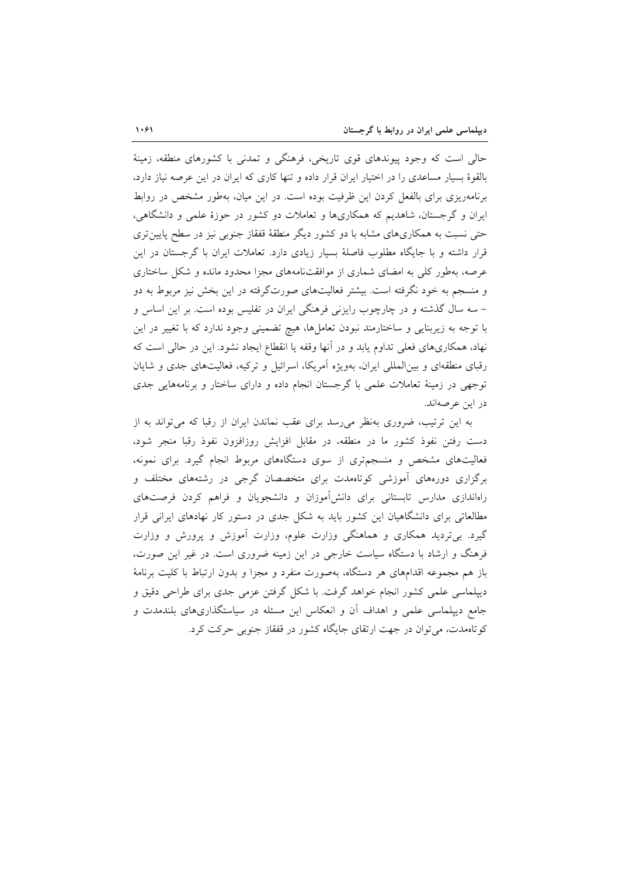حالی است که وجود پیوندهای قوی تاریخی، فرهنگی و تمدنی با کشورهای منطقه، زمینهٔ بالقوهٔ بسیار مساعدی را در اختیار ایران قرار داده و تنها کاری که ایران در این عرصه نیاز دارد، برنامهریزی برای بالفعل کردن این ظرفیت بوده است. در این میان، بهطور مشخص در روابط ایران و گرجستان، شاهدیم که همکاریها و تعاملات دو کشور در حوزهٔ علمی و دانشگاهی، حتی نسبت به همکاریهای مشابه با دو کشور دیگر منطقهٔ قفقاز جنوبی نیز در سطح پایین تری قرار داشته و با جایگاه مطلوب فاصلهٔ بسیار زیادی دارد. تعاملات ایران با گرجستان در این عرصه، بهطور کلی به امضای شماری از موافقتنامههای مجزا محدود مانده و شکل ساختاری و منسجم به خود نگرفته است. بیشتر فعالیتهای صورتگرفته در این بخش نیز مربوط به دو – سه سال گذشته و در چارچوب رایزنی فرهنگی ایران در تفلیس بوده است. بر این اساس و با توجه به زیربنایی و ساختارمند نبودن تعاملها، هیچ تضمینی وجود ندارد که با تغییر در این نهاد، همکاریهای فعلی تداوم یابد و در آنها وقفه یا انقطاع ایجاد نشود. این در حالی است که رقبای منطقهای و بینالمللی ایران، بهویژه اَمریکا، اسرائیل و ترکیه، فعالیتهای جدی و شایان توجهی در زمینهٔ تعاملات علمی با گرجستان انجام داده و دارای ساختار و برنامههایی جدی در اين عرصهاند.

به این ترتیب، ضروری بهنظر می رسد برای عقب نماندن ایران از رقبا که می تواند به از دست رفتن نفوذ كشور ما در منطقه، در مقابل افزايش روزافزون نفوذ رقبا منجر شود، فعالیتهای مشخص و منسجمتری از سوی دستگاههای مربوط انجام گیرد. برای نمونه، برگزاری دورههای آموزشی کوتاهمدت برای متخصصان گرجی در رشتههای مختلف و راهاندازی مدارس تابستانی برای دانش آموزان و دانشجویان و فراهم کردن فرصتهای مطالعاتی برای دانشگاهیان این کشور باید به شکل جدی در دستور کار نهادهای ایرانی قرار گیرد. بیتردید همکاری و هماهنگی وزارت علوم، وزارت آموزش و پرورش و وزارت فرهنگ و ارشاد با دستگاه سیاست خارجی در این زمینه ضروری است. در غیر این صورت، باز هم مجموعه اقدامهای هر دستگاه، بهصورت منفرد و مجزا و بدون ارتباط با کلیت برنامهٔ دیپلماسی علمی کشور انجام خواهد گرفت. با شکل گرفتن عزمی جدی برای طراحی دقیق و جامع دیپلماسی علمی و اهداف آن و انعکاس این مسئله در سیاستگذاریهای بلندمدت و کوتاهمدت، می توان در جهت ارتقای جایگاه کشور در قفقاز جنوبی حرکت کرد.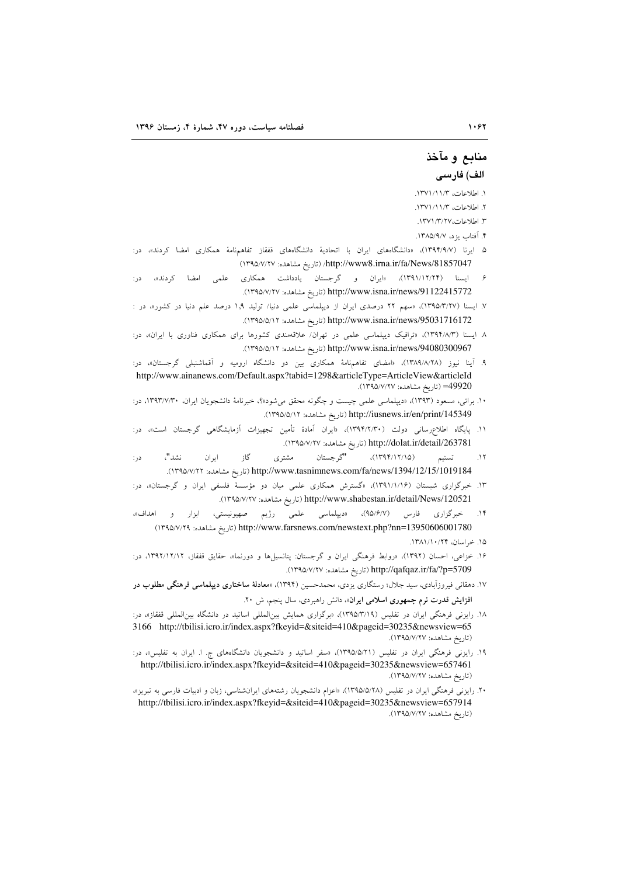## م**ن**ابع و مآخذ الف) فارس*ی*

١. اطلاعات، ١٢٧١/١١/٣.

٢. اطلاعات، ١٣٧١/١/ ١٣٧١.

٣. اطلاعات، ١٣٧١/٣/ ١٣٧١.

۴. آفتاب بزد، ۱۳۸۵/۹/۷.

- ۵. ایرنا (۱۳۹۴/۹/۷)، «دانشگاههای ایران با اتحادیهٔ دانشگاههای قفقاز تفاهمٖنامهٔ همکاری امضا کردند»، در: 1357047/ (تاريخ مشاهده: ١٣٩٥/٧/٢٧)/http://www8.irna.ir/fa/News/
- ۶. ایسنا (۱۳۹۱/۱۲/۲۴)، «ایران و گرجستان یادداشت همکاری علمی امضا کردند»، در: http://www.isna.ir/news/91122415772 (تاريخ مشاهده: ١٣٩٥/٧/٢٧).
- ۷. ایسنا (۱۳۹۵/۲/۲۷)، «سهم ۲۲ درصدی ایران از دیپلماسی علمی دنیا/ تولید ۱٫۹ درصد علم دنیا در کشور»، در : http://www.isna.ir/news/95031716172 (تاريخ مشاهده: ١٣٩٥/٥/١٢).
- ۸ ایسنا (۱۳۹۴/۸/۳). «ترافیک دیپلماسی علمی در تهران/ علاقهمندی کشورها برای همکاری فناوری با ایران»، در: http://www.isna.ir/news/94080300967 (تاريخ مشاهده: ١٣٩٥/٥/١٢).
- ۹. اینا نیوز (۱۳۸۹/۸/۲۸). «امضای تفاهمٖنامهٔ همکاری بین دو دانشگاه ارومیه و اقماشنبلی گرجستان»، در: http://www.ainanews.com/Default.aspx?tabid=1298&articleType=ArticleView&articleId 139920). تاريخ مشاهده: ١٣٩۵/٧/٢٧).
- ۰۱. براتی، مسعود (۱۳۹۳)، «دیپلماسی علمی چیست و چگونه محقق میشود»؟، خبرنامهٔ دانشجویان ایران، ۱۳۹۳/۷/۳۰، در: http://iusnews.ir/en/print/145349 (تاريخ مشاهده: ١٣٩٥/٥/١٢).
- ۱۱. پایگاه اطلاعرسانی دولت (۱۳۹۴/۲/۳۰)، «ایران امادهٔ تامین تجهیزات ازمایشگاهی گرجستان است»، در: http://dolat.ir/detail/263781 (تاريخ مشاهده: ١٣٩٥/٧/٢٧).
- تسنيم (١٣٩۴/١٢/١٥)، "گرجستان مشتري گاز ايران نشد"، در:  $.17$ 1394/12/15/1019184/ (تاريخ مشاهده: ١٣٩٥/٧/٢٢).
- ۱۳. خبرگزاری شبستان (۱/۱/۱۶)، «گسترش همکاری علمی میان دو مؤسسهٔ فلسفی ایران و گرجستان» در: 139521/http://www.shabestan.ir/detail/News/ (تاريخ مشاهده: ١٣٩٥/٧/٢٧).
- ۱۴. خبرگزاری فارس (۹۵/۶/۷)، «دیپلماسی علمی رژیم صهیونیستی، ابزار و اهداف»، 1395( :29/7/ <:9 ) http://www.farsnews.com/newstext.php?nn=13950606001780
	- ۱۵. خراسان، ۱۳۸۱/۱۰/۲۴.
- ۱۶. خزاعی، احسان (۱۳۹۲)، «روابط فرهنگی ایران و گرجستان: پتانسیل۱ها و دورنما»، حقایق قفقاز، ۱۳۹۲/۱۲/۱۲، در: http://qafqaz.ir/fa/?p=5709 (تاريخ مشاهده: ١٣٩٥/٧/٢٧).
- ۱۷. دهقانی فیروزابادی، سید جلال؛ رستگاری یزدی، محمدحسین (۱۳۹۴). «**معادلهٔ ساختاری دیپلماسی فرهنگی مطلوب در افزایش قدرت نرم جمهوری اسلامی ایران**»، دانش راهبردی، سال پنجم، ش ۲۰.
- ۱۸. رایزنی فرهنگی ایران در تفلیس (۱۳۹۵/۳/۱۹). «برگزاری همایش بینالمللی اساتید در دانشگاه بینالمللی قفقاز»، در: 3166 http://tbilisi.icro.ir/index.aspx?fkeyid=&siteid=410&pageid=30235&newsview=65 (تاریخ مشاهده: ۱۳۹۵/۷/۲۷).
- ۱۹. رایزنی فرهنگی ایران در تفلیس (۱۳۹۵/۵/۲۱)، «سفر اساتید و دانشجویان دانشگاههای ج. ا. ایران به تفلیس»، در: http://tbilisi.icro.ir/index.aspx?fkeyid=&siteid=410&pageid=30235&newsview=657461 (تاریخ مشاهده: ۱۳۹۵/۷/۲۷).
- ۰۲. رایزنی فرهنگی ایران در تفلیس (۱۳۹۵/۵/۲۸)، «اعزام دانشجویان رشتههای ایرانشناسی، زبان و ادبیات فارسی به تبریز»، htttp://tbilisi.icro.ir/index.aspx?fkeyid=&siteid=410&pageid=30235&newsview=657914 (تاریخ مشاهده: ۱۳۹۵/۷/۲۷).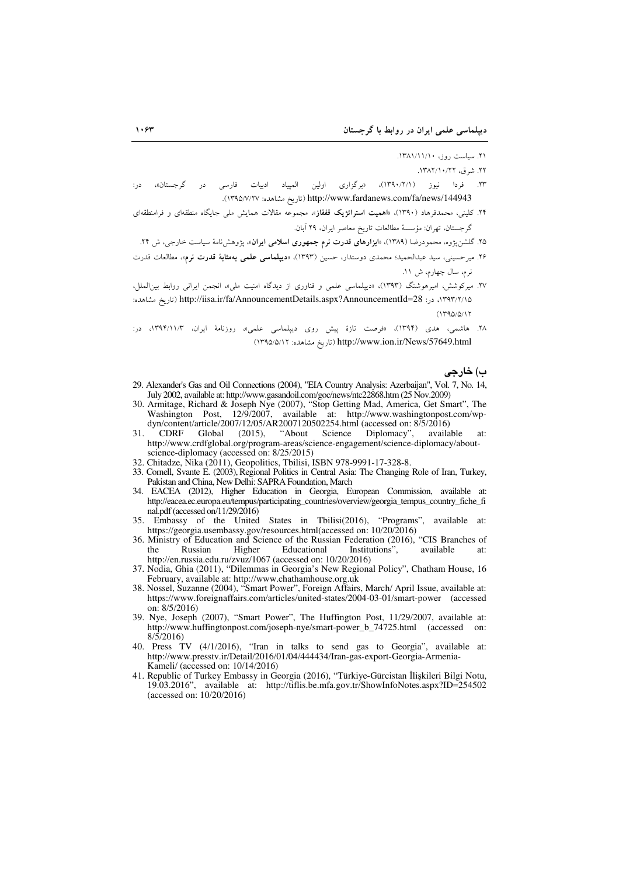۲۱. سیاست روز، ۱۳۸۱/۱۱/۱۰.

۲۲. شرق، ۱۳۸۲/۱۰/۲۲.

- ۲۳. فردا نیوز (۱۳۹۰/۲/۱)، «برگزاری اولین المپیاد ادبیات فارسی در گرجستان»، http://www.fardanews.com/fa/news/144943 (تاريخ مشاهده: ١٣٩٥/٧/٢٧).
- ۲۴. کلینی، محمدفرهاد (۱۳۹۰)، «اهمیت ا<mark>ستراتژیک قفقاز</mark>»، مجموعه مقالات همایش مل<sub>ی</sub> جایگاه منطقهای و فرامنطقهای گرجستان، تهران: مؤسسة مطالعات تاريخ معاصر ايران، ٢٩ آبان.

۲۵. گلشنپژوه، محمودرضا (۱۳۸۹)، «ا**بزارهای قدرت نرم جمهوری اسلامی ایران**»، پژوهشiامهٔ سیاست خارجی، ش ۲۴.

- ۲۶. میرحسینی، سید عبدالحمید؛ محمدی دوستدار، حسین (۱۳۹۳)، «**دیپلماسی علمی بهمثابهٔ قدرت نرم»**، مطالعات قدرت نرم، سال چهارم، ش ۱۱.
- ۲۷. میرکوشش، امیرهوشنگ (۱۳۹۳)، «دیپلماسی علمی و فناوری از دیدگاه امنیت ملی»، انجمن ایرانی روابط بینالملل، ١٣٩٣/٢/١٥، در: http://iisa.ir/fa/AnnouncementDetails.aspx?AnnouncementId=28 (تاريخ مشاهده:  $(1790/0)17$
- ۲۸. هاشمی، هدی (۱۳۹۴)، «فرصت تازهٔ پیش روی دیپلماسی علمی»، روزنامهٔ ایران، ۱۳۹۴/۱۱/۳، در: http://www.ion.ir/News/57649.html (تاريخ مشاهده: ١٣٩٥/٥/١٢)

ب) خارجي

- 29. Alexander's Gas and Oil Connections (2004), "EIA Country Analysis: Azerbaijan", Vol. 7, No. 14, July 2002, available at: http://www.gasandoil.com/goc/news/ntc22868.htm (25 Nov.2009)
- 30. Armitage, Richard & Joseph Nye (2007), "Stop Getting Mad, America, Get Smart", The Washington Post, 12/9/2007, available at: http://www.washingtonpost.com/wp-<br>dyn/content/article/2007/12/05/AR2007120502254.html (accessed on: 8/5/2016)
- "About Science Diplomacy", 31. **CDRF** Global  $(2015),$ available at: http://www.crdfglobal.org/program-areas/science-engagement/science-diplomacy/aboutscience-diplomacy (accessed on: 8/25/2015)
- 32. Chitadze, Nika (2011), Geopolitics, Tbilisi, ISBN 978-9991-17-328-8.
- 33. Cornell, Svante E. (2003), Regional Politics in Central Asia: The Changing Role of Iran, Turkey, Pakistan and China, New Delhi: SAPRA Foundation, March
- 34. EACEA (2012), Higher Education in Georgia, European Commission, available at: http://eacea.ec.europa.eu/tempus/participating\_countries/overview/georgia\_tempus\_country\_fiche\_fi nal.pdf (accessed on/11/29/2016)
- 35. Embassy of the United States in Tbilisi(2016), "Programs", available at: https://georgia.usembassy.gov/resources.html(accessed on: 10/20/2016)
- 36. Ministry of Education and Science of the Russian Federation (2016), "CIS Branches of Higher Educational available the Russian Institutions", at: http://en.russia.edu.ru/zvuz/1067 (accessed on: 10/20/2016)
- 37. Nodia, Ghia (2011), "Dilemmas in Georgia's New Regional Policy", Chatham House, 16 February, available at: http://www.chathamhouse.org.uk<br>38. Nossel, Suzanne (2004), "Smart Power", Foreign Affairs, March/ April Issue, available at:
- https://www.foreignaffairs.com/articles/united-states/2004-03-01/smart-power (accessed on:  $8/5/2016$
- 39. Nye, Joseph (2007), "Smart Power", The Huffington Post, 11/29/2007, available at: http://www.huffingtonpost.com/joseph-nye/smart-power\_b\_74725.html (accessed on:  $8/\sqrt{5}/2016$
- 40. Press TV (4/1/2016), "Iran in talks to send gas to Georgia", available at: http://www.presstv.ir/Detail/2016/01/04/444434/Iran-gas-export-Georgia-Armenia-Kameli/ (accessed on: 10/14/2016)
- 41. Republic of Turkey Embassy in Georgia (2016), "Türkiye-Gürcistan İlişkileri Bilgi Notu, 19.03.2016", available at: http://tiflis.be.mfa.gov.tr/ShowInfoNotes.aspx?ID=254502 (accessed on: 10/20/2016)